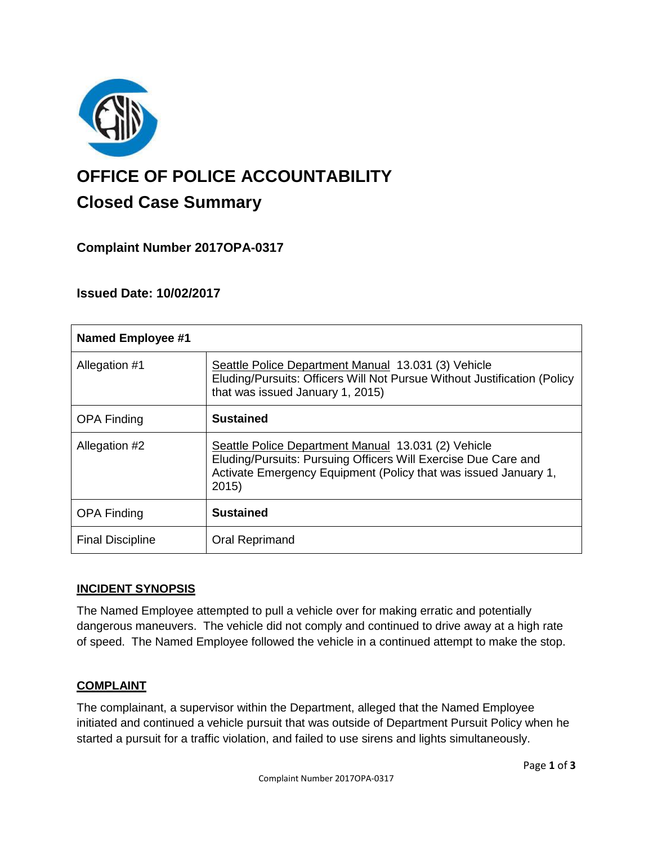

# **OFFICE OF POLICE ACCOUNTABILITY**

# **Closed Case Summary**

## **Complaint Number 2017OPA-0317**

### **Issued Date: 10/02/2017**

| <b>Named Employee #1</b> |                                                                                                                                                                                                  |
|--------------------------|--------------------------------------------------------------------------------------------------------------------------------------------------------------------------------------------------|
| Allegation #1            | Seattle Police Department Manual 13.031 (3) Vehicle<br>Eluding/Pursuits: Officers Will Not Pursue Without Justification (Policy<br>that was issued January 1, 2015)                              |
| <b>OPA Finding</b>       | <b>Sustained</b>                                                                                                                                                                                 |
| Allegation #2            | Seattle Police Department Manual 13.031 (2) Vehicle<br>Eluding/Pursuits: Pursuing Officers Will Exercise Due Care and<br>Activate Emergency Equipment (Policy that was issued January 1,<br>2015 |
| <b>OPA Finding</b>       | <b>Sustained</b>                                                                                                                                                                                 |
| <b>Final Discipline</b>  | Oral Reprimand                                                                                                                                                                                   |

#### **INCIDENT SYNOPSIS**

The Named Employee attempted to pull a vehicle over for making erratic and potentially dangerous maneuvers. The vehicle did not comply and continued to drive away at a high rate of speed. The Named Employee followed the vehicle in a continued attempt to make the stop.

#### **COMPLAINT**

The complainant, a supervisor within the Department, alleged that the Named Employee initiated and continued a vehicle pursuit that was outside of Department Pursuit Policy when he started a pursuit for a traffic violation, and failed to use sirens and lights simultaneously.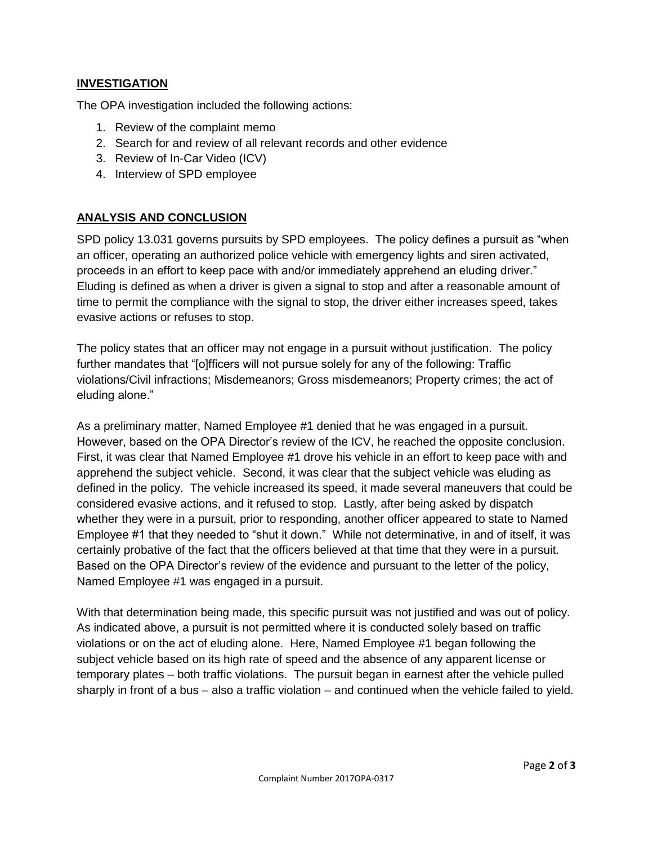#### **INVESTIGATION**

The OPA investigation included the following actions:

- 1. Review of the complaint memo
- 2. Search for and review of all relevant records and other evidence
- 3. Review of In-Car Video (ICV)
- 4. Interview of SPD employee

#### **ANALYSIS AND CONCLUSION**

SPD policy 13.031 governs pursuits by SPD employees. The policy defines a pursuit as "when an officer, operating an authorized police vehicle with emergency lights and siren activated, proceeds in an effort to keep pace with and/or immediately apprehend an eluding driver." Eluding is defined as when a driver is given a signal to stop and after a reasonable amount of time to permit the compliance with the signal to stop, the driver either increases speed, takes evasive actions or refuses to stop.

The policy states that an officer may not engage in a pursuit without justification. The policy further mandates that "[o]fficers will not pursue solely for any of the following: Traffic violations/Civil infractions; Misdemeanors; Gross misdemeanors; Property crimes; the act of eluding alone."

As a preliminary matter, Named Employee #1 denied that he was engaged in a pursuit. However, based on the OPA Director's review of the ICV, he reached the opposite conclusion. First, it was clear that Named Employee #1 drove his vehicle in an effort to keep pace with and apprehend the subject vehicle. Second, it was clear that the subject vehicle was eluding as defined in the policy. The vehicle increased its speed, it made several maneuvers that could be considered evasive actions, and it refused to stop. Lastly, after being asked by dispatch whether they were in a pursuit, prior to responding, another officer appeared to state to Named Employee #1 that they needed to "shut it down." While not determinative, in and of itself, it was certainly probative of the fact that the officers believed at that time that they were in a pursuit. Based on the OPA Director's review of the evidence and pursuant to the letter of the policy, Named Employee #1 was engaged in a pursuit.

With that determination being made, this specific pursuit was not justified and was out of policy. As indicated above, a pursuit is not permitted where it is conducted solely based on traffic violations or on the act of eluding alone. Here, Named Employee #1 began following the subject vehicle based on its high rate of speed and the absence of any apparent license or temporary plates – both traffic violations. The pursuit began in earnest after the vehicle pulled sharply in front of a bus – also a traffic violation – and continued when the vehicle failed to yield.